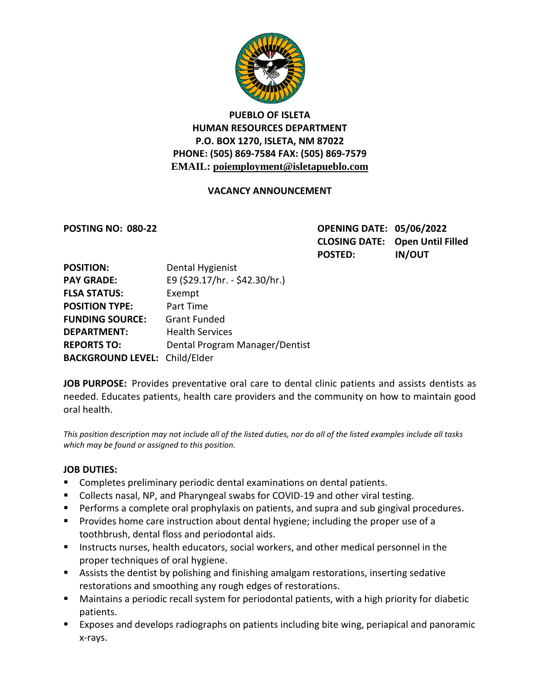

# **PUEBLO OF ISLETA HUMAN RESOURCES DEPARTMENT P.O. BOX 1270, ISLETA, NM 87022 PHONE: (505) 869-7584 FAX: (505) 869-7579 EMAIL: poiemployment@isletapueblo.com**

## **VACANCY ANNOUNCEMENT**

**POSTING NO: 080-22 OPENING DATE: 05/06/2022 CLOSING DATE: Open Until Filled POSTED: IN/OUT**

| <b>POSITION:</b>                     | Dental Hygienist               |
|--------------------------------------|--------------------------------|
| <b>PAY GRADE:</b>                    | E9 (\$29.17/hr. - \$42.30/hr.) |
| <b>FLSA STATUS:</b>                  | Exempt                         |
| <b>POSITION TYPE:</b>                | Part Time                      |
| <b>FUNDING SOURCE:</b>               | <b>Grant Funded</b>            |
| <b>DEPARTMENT:</b>                   | <b>Health Services</b>         |
| <b>REPORTS TO:</b>                   | Dental Program Manager/Dentist |
| <b>BACKGROUND LEVEL: Child/Elder</b> |                                |

**JOB PURPOSE:** Provides preventative oral care to dental clinic patients and assists dentists as needed. Educates patients, health care providers and the community on how to maintain good oral health.

*This position description may not include all of the listed duties, nor do all of the listed examples include all tasks which may be found or assigned to this position.*

#### **JOB DUTIES:**

- **Completes preliminary periodic dental examinations on dental patients.**
- Collects nasal, NP, and Pharyngeal swabs for COVID-19 and other viral testing.
- **Performs a complete oral prophylaxis on patients, and supra and sub gingival procedures.**
- **Provides home care instruction about dental hygiene; including the proper use of a** toothbrush, dental floss and periodontal aids.
- **Instructs nurses, health educators, social workers, and other medical personnel in the** proper techniques of oral hygiene.
- Assists the dentist by polishing and finishing amalgam restorations, inserting sedative restorations and smoothing any rough edges of restorations.
- Maintains a periodic recall system for periodontal patients, with a high priority for diabetic patients.
- Exposes and develops radiographs on patients including bite wing, periapical and panoramic x-rays.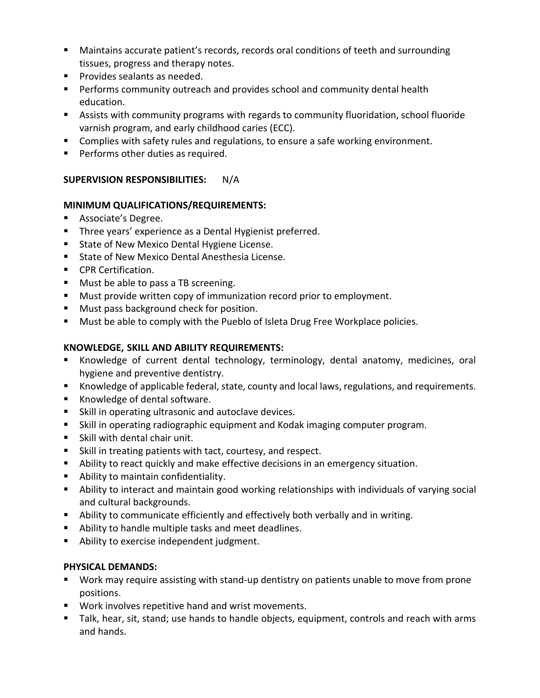- Maintains accurate patient's records, records oral conditions of teeth and surrounding tissues, progress and therapy notes.
- **Provides sealants as needed.**
- **Performs community outreach and provides school and community dental health** education.
- Assists with community programs with regards to community fluoridation, school fluoride varnish program, and early childhood caries (ECC).
- **Complies with safety rules and regulations, to ensure a safe working environment.**
- **Performs other duties as required.**

## **SUPERVISION RESPONSIBILITIES:** N/A

## **MINIMUM QUALIFICATIONS/REQUIREMENTS:**

- **Associate's Degree.**
- **Three years' experience as a Dental Hygienist preferred.**
- **State of New Mexico Dental Hygiene License.**
- State of New Mexico Dental Anesthesia License.
- **CPR Certification.**
- **Must be able to pass a TB screening.**
- **Must provide written copy of immunization record prior to employment.**
- **Must pass background check for position.**
- **Must be able to comply with the Pueblo of Isleta Drug Free Workplace policies.**

# **KNOWLEDGE, SKILL AND ABILITY REQUIREMENTS:**

- Knowledge of current dental technology, terminology, dental anatomy, medicines, oral hygiene and preventive dentistry.
- Knowledge of applicable federal, state, county and local laws, regulations, and requirements.
- Knowledge of dental software.
- **Skill in operating ultrasonic and autoclave devices.**
- Skill in operating radiographic equipment and Kodak imaging computer program.
- Skill with dental chair unit.
- Skill in treating patients with tact, courtesy, and respect.
- Ability to react quickly and make effective decisions in an emergency situation.
- **Ability to maintain confidentiality.**
- Ability to interact and maintain good working relationships with individuals of varying social and cultural backgrounds.
- Ability to communicate efficiently and effectively both verbally and in writing.
- Ability to handle multiple tasks and meet deadlines.
- **Ability to exercise independent judgment.**

## **PHYSICAL DEMANDS:**

- Work may require assisting with stand-up dentistry on patients unable to move from prone positions.
- Work involves repetitive hand and wrist movements.
- Talk, hear, sit, stand; use hands to handle objects, equipment, controls and reach with arms and hands.